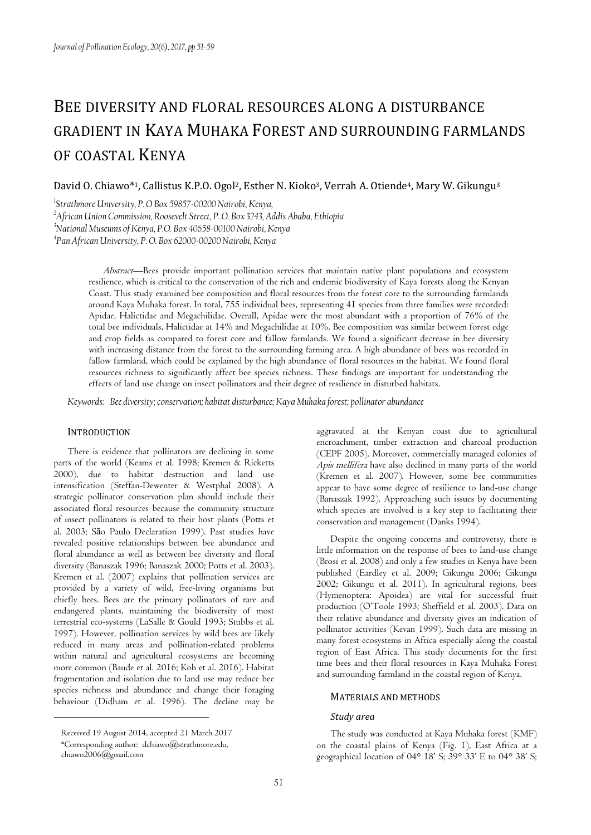# BEE DIVERSITY AND FLORAL RESOURCES ALONG A DISTURBANCE GRADIENT IN KAYA MUHAKA FOREST AND SURROUNDING FARMLANDS OF COASTAL KENYA

David O. Chiawo\*1, Callistus K.P.O. Ogol<sup>2</sup>, Esther N. Kioko<sup>3</sup>, Verrah A. Otiende<sup>4</sup>, Mary W. Gikungu<sup>3</sup>

*1 Strathmore University, P. O Box 59857-00200 Nairobi, Kenya,* 

*<sup>2</sup>African Union Commission, Roosevelt Street, P. O. Box 3243, Addis Ababa, Ethiopia* 

*<sup>3</sup>National Museums of Kenya, P.O. Box 40658-00100 Nairobi, Kenya* 

*4 Pan African University, P. O. Box 62000-00200 Nairobi, Kenya*

Abstract—Bees provide important pollination services that maintain native plant populations and ecosystem resilience, which is critical to the conservation of the rich and endemic biodiversity of Kaya forests along the Kenyan Coast. This study examined bee composition and floral resources from the forest core to the surrounding farmlands around Kaya Muhaka forest. In total, 755 individual bees, representing 41 species from three families were recorded: Apidae, Halictidae and Megachilidae. Overall, Apidae were the most abundant with a proportion of 76% of the total bee individuals, Halictidae at 14% and Megachilidae at 10%. Bee composition was similar between forest edge and crop fields as compared to forest core and fallow farmlands. We found a significant decrease in bee diversity with increasing distance from the forest to the surrounding farming area. A high abundance of bees was recorded in fallow farmland, which could be explained by the high abundance of floral resources in the habitat. We found floral resources richness to significantly affect bee species richness. These findings are important for understanding the effects of land use change on insect pollinators and their degree of resilience in disturbed habitats.

*Keywords: Bee diversity; conservation; habitat disturbance; Kaya Muhaka forest; pollinator abundance*

# **INTRODUCTION**

There is evidence that pollinators are declining in some parts of the world (Keams et al. 1998; Kremen & Ricketts 2000), due to habitat destruction and land use intensification (Steffan-Dewenter & Westphal 2008). A strategic pollinator conservation plan should include their associated floral resources because the community structure of insect pollinators is related to their host plants (Potts et al. 2003; Sāo Paulo Declaration 1999). Past studies have revealed positive relationships between bee abundance and floral abundance as well as between bee diversity and floral diversity (Banaszak 1996; Banaszak 2000; Potts et al. 2003). Kremen et al. (2007) explains that pollination services are provided by a variety of wild, free-living organisms but chiefly bees. Bees are the primary pollinators of rare and endangered plants, maintaining the biodiversity of most terrestrial eco-systems (LaSalle & Gould 1993; Stubbs et al. 1997). However, pollination services by wild bees are likely reduced in many areas and pollination-related problems within natural and agricultural ecosystems are becoming more common (Baude et al. 2016; Koh et al. 2016). Habitat fragmentation and isolation due to land use may reduce bee species richness and abundance and change their foraging behaviour (Didham et al. 1996). The decline may be

chiawo2006@gmail.com

aggravated at the Kenyan coast due to agricultural encroachment, timber extraction and charcoal production (CEPF 2005). Moreover, commercially managed colonies of Apis mellifera have also declined in many parts of the world (Kremen et al. 2007). However, some bee communities appear to have some degree of resilience to land-use change (Banaszak 1992). Approaching such issues by documenting which species are involved is a key step to facilitating their conservation and management (Danks 1994).

Despite the ongoing concerns and controversy, there is little information on the response of bees to land-use change (Brosi et al. 2008) and only a few studies in Kenya have been published (Eardley et al. 2009; Gikungu 2006; Gikungu 2002; Gikungu et al. 2011). In agricultural regions, bees (Hymenoptera: Apoidea) are vital for successful fruit production (O'Toole 1993; Sheffield et al. 2003). Data on their relative abundance and diversity gives an indication of pollinator activities (Kevan 1999). Such data are missing in many forest ecosystems in Africa especially along the coastal region of East Africa. This study documents for the first time bees and their floral resources in Kaya Muhaka Forest and surrounding farmland in the coastal region of Kenya.

#### MATERIALS AND METHODS

#### *Study area*

The study was conducted at Kaya Muhaka forest (KMF) on the coastal plains of Kenya (Fig. 1), East Africa at a geographical location of  $04^{\circ}$  18' S;  $39^{\circ}$  33' E to  $04^{\circ}$  38' S;

Received 19 August 2014, accepted 21 March 2017 \*Corresponding author: dchiawo@strathmore.edu,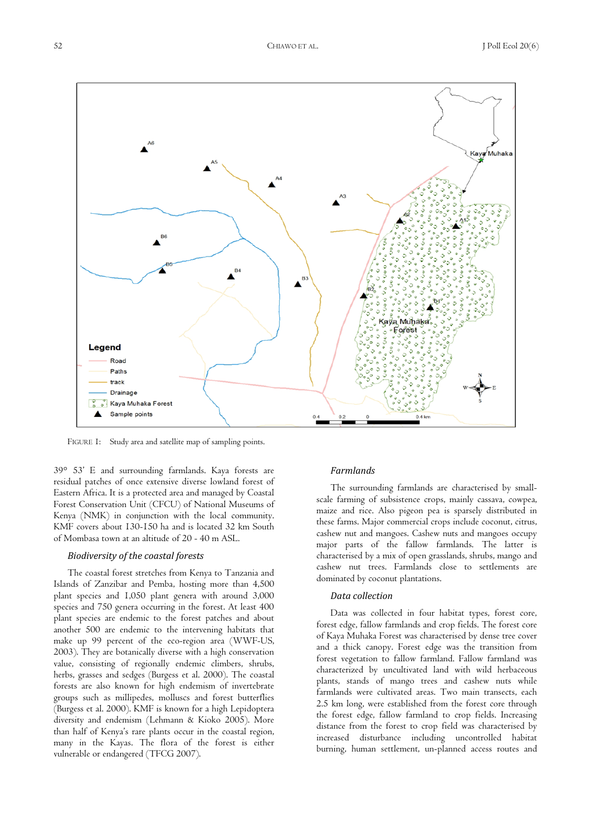

FIGURE 1: Study area and satellite map of sampling points.

39° 53' E and surrounding farmlands. Kaya forests are residual patches of once extensive diverse lowland forest of Eastern Africa. It is a protected area and managed by Coastal Forest Conservation Unit (CFCU) of National Museums of Kenya (NMK) in conjunction with the local community. KMF covers about 130-150 ha and is located 32 km South of Mombasa town at an altitude of 20 - 40 m ASL.

#### *Biodiversity of the coastal forests*

The coastal forest stretches from Kenya to Tanzania and Islands of Zanzibar and Pemba, hosting more than 4,500 plant species and 1,050 plant genera with around 3,000 species and 750 genera occurring in the forest. At least 400 plant species are endemic to the forest patches and about another 500 are endemic to the intervening habitats that make up 99 percent of the eco-region area (WWF-US, 2003). They are botanically diverse with a high conservation value, consisting of regionally endemic climbers, shrubs, herbs, grasses and sedges (Burgess et al. 2000). The coastal forests are also known for high endemism of invertebrate groups such as millipedes, molluscs and forest butterflies (Burgess et al. 2000). KMF is known for a high Lepidoptera diversity and endemism (Lehmann & Kioko 2005). More than half of Kenya's rare plants occur in the coastal region, many in the Kayas. The flora of the forest is either vulnerable or endangered (TFCG 2007).

## *Farmlands*

The surrounding farmlands are characterised by smallscale farming of subsistence crops, mainly cassava, cowpea, maize and rice. Also pigeon pea is sparsely distributed in these farms. Major commercial crops include coconut, citrus, cashew nut and mangoes. Cashew nuts and mangoes occupy major parts of the fallow farmlands. The latter is characterised by a mix of open grasslands, shrubs, mango and cashew nut trees. Farmlands close to settlements are dominated by coconut plantations.

#### *Data collection*

Data was collected in four habitat types, forest core, forest edge, fallow farmlands and crop fields. The forest core of Kaya Muhaka Forest was characterised by dense tree cover and a thick canopy. Forest edge was the transition from forest vegetation to fallow farmland. Fallow farmland was characterized by uncultivated land with wild herbaceous plants, stands of mango trees and cashew nuts while farmlands were cultivated areas. Two main transects, each 2.5 km long, were established from the forest core through the forest edge, fallow farmland to crop fields. Increasing distance from the forest to crop field was characterised by increased disturbance including uncontrolled habitat burning, human settlement, un-planned access routes and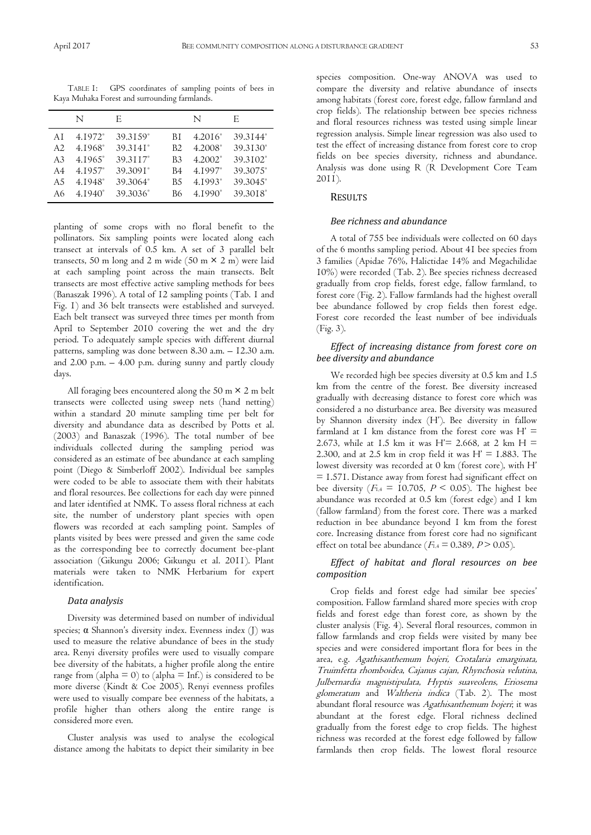TABLE 1: GPS coordinates of sampling points of bees in Kaya Muhaka Forest and surrounding farmlands.

|                | N                   | F.                   |                | N                   | E        |
|----------------|---------------------|----------------------|----------------|---------------------|----------|
| ΑI             | 4.1972 <sup>°</sup> | 39.3159°             | ВI             | 4.2016 <sup>°</sup> | 39.3144° |
| A2             | 4.1968°             | 39.3141 <sup>°</sup> | B <sub>2</sub> | 4.2008°             | 39.3130° |
| A <sub>3</sub> | 4.1965 <sup>°</sup> | 39.3117°             | B <sub>3</sub> | $4.2002^{\circ}$    | 39.3102° |
| A4             | 4.1957°             | 39.3091°             | B4             | 4.1997 <sup>°</sup> | 39.3075° |
| A5             | 4.1948°             | 39.3064°             | B.5            | 4.1993 <sup>°</sup> | 39.3045° |
| A6             | $4.1940^{\circ}$    | 39.3036°             | В6             | $4.1990^{\circ}$    | 39.3018° |

planting of some crops with no floral benefit to the pollinators. Six sampling points were located along each transect at intervals of 0.5 km. A set of 3 parallel belt transects, 50 m long and 2 m wide (50 m  $\times$  2 m) were laid at each sampling point across the main transects. Belt transects are most effective active sampling methods for bees (Banaszak 1996). A total of 12 sampling points (Tab. 1 and Fig. 1) and 36 belt transects were established and surveyed. Each belt transect was surveyed three times per month from April to September 2010 covering the wet and the dry period. To adequately sample species with different diurnal patterns, sampling was done between 8.30 a.m. – 12.30 a.m. and 2.00 p.m. – 4.00 p.m. during sunny and partly cloudy days.

All foraging bees encountered along the 50 m  $\times$  2 m belt transects were collected using sweep nets (hand netting) within a standard 20 minute sampling time per belt for diversity and abundance data as described by Potts et al. (2003) and Banaszak (1996). The total number of bee individuals collected during the sampling period was considered as an estimate of bee abundance at each sampling point (Diego & Simberloff 2002). Individual bee samples were coded to be able to associate them with their habitats and floral resources. Bee collections for each day were pinned and later identified at NMK. To assess floral richness at each site, the number of understory plant species with open flowers was recorded at each sampling point. Samples of plants visited by bees were pressed and given the same code as the corresponding bee to correctly document bee-plant association (Gikungu 2006; Gikungu et al. 2011). Plant materials were taken to NMK Herbarium for expert identification.

## *Data analysis*

Diversity was determined based on number of individual species; α Shannon's diversity index. Evenness index (J) was used to measure the relative abundance of bees in the study area. Renyi diversity profiles were used to visually compare bee diversity of the habitats, a higher profile along the entire range from (alpha  $= 0$ ) to (alpha  $=$  Inf.) is considered to be more diverse (Kindt & Coe 2005). Renyi evenness profiles were used to visually compare bee evenness of the habitats, a profile higher than others along the entire range is considered more even.

Cluster analysis was used to analyse the ecological distance among the habitats to depict their similarity in bee

species composition. One-way ANOVA was used to compare the diversity and relative abundance of insects among habitats (forest core, forest edge, fallow farmland and crop fields). The relationship between bee species richness and floral resources richness was tested using simple linear regression analysis. Simple linear regression was also used to test the effect of increasing distance from forest core to crop fields on bee species diversity, richness and abundance. Analysis was done using R (R Development Core Team 2011).

#### RESULTS

#### *Bee richness and abundance*

A total of 755 bee individuals were collected on 60 days of the 6 months sampling period. About 41 bee species from 3 families (Apidae 76%, Halictidae 14% and Megachilidae 10%) were recorded (Tab. 2). Bee species richness decreased gradually from crop fields, forest edge, fallow farmland, to forest core (Fig. 2). Fallow farmlands had the highest overall bee abundance followed by crop fields then forest edge. Forest core recorded the least number of bee individuals (Fig. 3).

## *Effect of increasing distance from forest core on bee diversity and abundance*

We recorded high bee species diversity at 0.5 km and 1.5 km from the centre of the forest. Bee diversity increased gradually with decreasing distance to forest core which was considered a no disturbance area. Bee diversity was measured by Shannon diversity index (H'). Bee diversity in fallow farmland at I km distance from the forest core was  $H' =$ 2.673, while at 1.5 km it was H'= 2.668, at 2 km H = 2.300, and at 2.5 km in crop field it was  $H' = 1.883$ . The lowest diversity was recorded at 0 km (forest core), with H' = 1.571. Distance away from forest had significant effect on bee diversity ( $F_{1,4} = 10.705$ ,  $P \le 0.05$ ). The highest bee abundance was recorded at 0.5 km (forest edge) and 1 km (fallow farmland) from the forest core. There was a marked reduction in bee abundance beyond 1 km from the forest core. Increasing distance from forest core had no significant effect on total bee abundance ( $F_{1,4} = 0.389$ ,  $P > 0.05$ ).

# *Effect of habitat and floral resources on bee composition*

Crop fields and forest edge had similar bee species' composition. Fallow farmland shared more species with crop fields and forest edge than forest core, as shown by the cluster analysis (Fig. 4). Several floral resources, common in fallow farmlands and crop fields were visited by many bee species and were considered important flora for bees in the area, e.g. Agathisanthemum bojeri, Crotalaria emarginata, Truimfetta rhomboidea, Cajanus cajan, Rhynchosia velutina, Julbernardia magnistipulata, Hyptis suaveolens, Eriosema glomeratum and Waltheria indica (Tab. 2). The most abundant floral resource was Agathisanthemum bojeri; it was abundant at the forest edge. Floral richness declined gradually from the forest edge to crop fields. The highest richness was recorded at the forest edge followed by fallow farmlands then crop fields. The lowest floral resource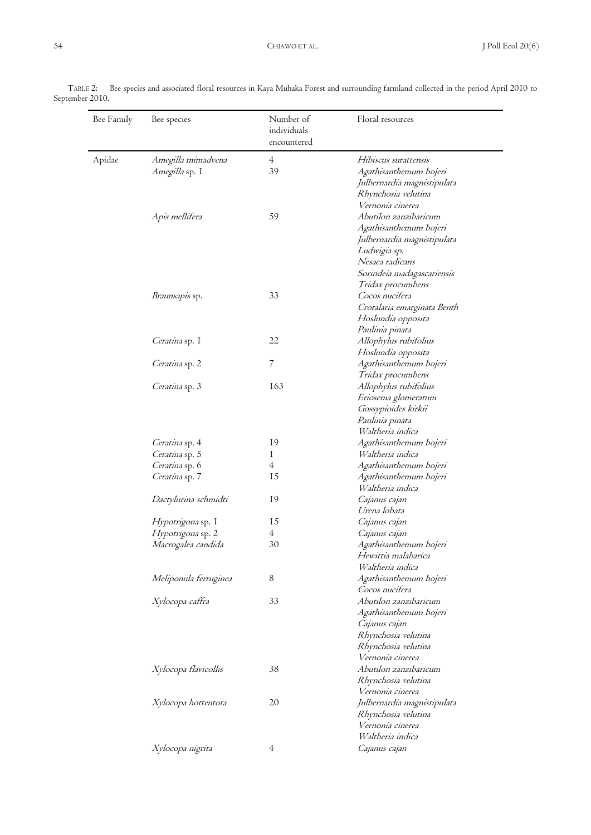| Bee Family | Bee species                      | Number of<br>individuals<br>encountered | Floral resources                           |
|------------|----------------------------------|-----------------------------------------|--------------------------------------------|
| Apidae     | Amegilla mimadvena               | $\overline{4}$                          | Hibiscus surattensis                       |
|            | Amegilla sp. I                   | 39                                      | Agathisanthemum bojeri                     |
|            |                                  |                                         | Julbernardia magnistipulata                |
|            |                                  |                                         | Rhynchosia velutina                        |
|            |                                  |                                         | Vernonia cinerea                           |
|            | Apis mellifera                   | 59                                      | Abutilon zanzibaricum                      |
|            |                                  |                                         | Agathisanthemum bojeri                     |
|            |                                  |                                         | Julbernardia magnistipulata                |
|            |                                  |                                         | Ludwigia sp.                               |
|            |                                  |                                         | Nesaea radicans                            |
|            |                                  |                                         | Sorindeia madagascariensis                 |
|            |                                  |                                         | Tridax procumbens                          |
|            | Braunsapis sp.                   | 33                                      | Cocos nucifera                             |
|            |                                  |                                         | Crotalaria emarginata Benth                |
|            |                                  |                                         | Hoslundia opposita                         |
|            |                                  |                                         | Paulinia pinata                            |
|            | Ceratina sp. I                   | 22                                      | Allophylus rubifolius                      |
|            |                                  |                                         | Hoslundia opposita                         |
|            | Ceratina sp. 2                   | 7                                       | Agathisanthemum bojeri                     |
|            |                                  |                                         | Tridax procumbens                          |
|            | Ceratina sp. 3                   | 163                                     | Allophylus rubifolius                      |
|            |                                  |                                         | Eriosema glomeratum                        |
|            |                                  |                                         | Gossypioides kirkii                        |
|            |                                  |                                         | Paulinia pinata                            |
|            |                                  | 19                                      | Waltheria indica                           |
|            | Ceratina sp. 4<br>Ceratina sp. 5 | Ι                                       | Agathisanthemum bojeri<br>Waltheria indica |
|            | Ceratina sp. 6                   | $\overline{4}$                          | Agathisanthemum bojeri                     |
|            | Ceratina sp. 7                   | 15                                      | Agathisanthemum bojeri                     |
|            |                                  |                                         | Waltheria indica                           |
|            | Dactylurina schmidti             | 19                                      | Cajanus cajan                              |
|            |                                  |                                         | Urena lobata                               |
|            | Hypotrigona sp. I                | 15                                      | Cajanus cajan                              |
|            | Hypotrigona sp. 2                | 4                                       | Cajanus cajan                              |
|            | Macrogalea candida               | 30                                      | Agathisanthemum bojeri                     |
|            |                                  |                                         | Hewittia malabarica                        |
|            |                                  |                                         | Waltheria indica                           |
|            | Meliponula ferruginea            | 8                                       | Agathisanthemum bojeri                     |
|            |                                  |                                         | Cocos nucifera                             |
|            | Xylocopa caffra                  | 33                                      | Abutilon zanzibaricum                      |
|            |                                  |                                         | Agathisanthemum bojeri                     |
|            |                                  |                                         | Cajanus cajan                              |
|            |                                  |                                         | Rhynchosia velutina                        |
|            |                                  |                                         | Rhynchosia velutina                        |
|            |                                  |                                         | Vernonia cinerea                           |
|            | Xylocopa flavicollis             | 38                                      | Abutilon zanzibaricum                      |
|            |                                  |                                         | Rhynchosia velutina                        |
|            |                                  |                                         | Vernonia cinerea                           |
|            | Xylocopa hottentota              | 20                                      | Julbernardia magnistipulata                |
|            |                                  |                                         | Rhynchosia velutina                        |
|            |                                  |                                         | Vernonia cinerea                           |
|            |                                  |                                         | Waltheria indica                           |
|            | Xylocopa nigrita                 | $\overline{4}$                          | Cajanus cajan                              |

TABLE 2: Bee species and associated floral resources in Kaya Muhaka Forest and surrounding farmland collected in the period April 2010 to September 2010.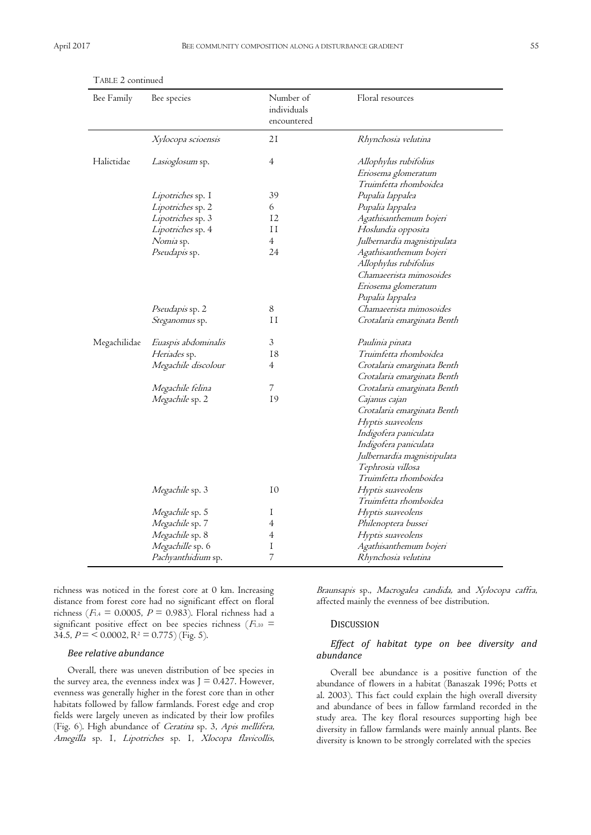| Bee Family   | Bee species            | Number of<br>individuals<br>encountered | Floral resources                                                      |
|--------------|------------------------|-----------------------------------------|-----------------------------------------------------------------------|
|              | Xylocopa scioensis     | 21                                      | Rhynchosia velutina                                                   |
| Halictidae   | Lasioglosum sp.        | $\overline{4}$                          | Allophylus rubifolius<br>Eriosema glomeratum<br>Truimfetta rhomboidea |
|              | Lipotriches sp. I      | 39                                      | Pupalia lappalea                                                      |
|              | Lipotriches sp. 2      | 6                                       | Pupalia lappalea                                                      |
|              | Lipotriches sp. 3      | 12                                      | Agathisanthemum bojeri                                                |
|              | Lipotriches sp. 4      | 11                                      | Hoslundia opposita                                                    |
|              | Nomia sp.              | $\overline{4}$                          | Julbernardia magnistipulata                                           |
|              | Pseudapis sp.          | 24                                      | Agathisanthemum bojeri<br>Allophylus rubifolius                       |
|              |                        |                                         | Chamaeerista mimosoides                                               |
|              |                        |                                         | Eriosema glomeratum                                                   |
|              |                        |                                         | Pupalia lappalea                                                      |
|              | <i>Pseudapis</i> sp. 2 | 8                                       | Chamaeerista mimosoides                                               |
|              | Steganomus sp.         | 11                                      | Crotalaria emarginata Benth                                           |
| Megachilidae | Euaspis abdominalis    | $\mathfrak{Z}$                          | Paulinia pinata                                                       |
|              | Heriades sp.           | 18                                      | Truimfetta rhomboidea                                                 |
|              | Megachile discolour    | $\overline{4}$                          | Crotalaria emarginata Benth                                           |
|              |                        |                                         | Crotalaria emarginata Benth                                           |
|              | Megachile felina       | 7                                       | Crotalaria emarginata Benth                                           |
|              | Megachile sp. 2        | 19                                      | Cajanus cajan                                                         |
|              |                        |                                         | Crotalaria emarginata Benth                                           |
|              |                        |                                         | Hyptis suaveolens                                                     |
|              |                        |                                         | Indigofera paniculata                                                 |
|              |                        |                                         | Indigofera paniculata                                                 |
|              |                        |                                         | Julbernardia magnistipulata                                           |
|              |                        |                                         | Tephrosia villosa                                                     |
|              |                        |                                         | Truimfetta rhomboidea                                                 |
|              | Megachile sp. 3        | 10                                      | Hyptis suaveolens                                                     |
|              |                        |                                         | Truimfetta rhomboidea                                                 |
|              | Megachile sp. 5        | Ι                                       | Hyptis suaveolens                                                     |
|              | Megachile sp. 7        | 4                                       | Philenoptera bussei                                                   |
|              | Megachile sp. 8        | $\overline{4}$                          | Hyptis suaveolens                                                     |
|              | Megachille sp. 6       | Ι                                       | Agathisanthemum bojeri                                                |
|              | Pachyanthidium sp.     | 7                                       | Rhynchosia velutina                                                   |

| TABLE 2 continued |  |
|-------------------|--|
|-------------------|--|

richness was noticed in the forest core at 0 km. Increasing distance from forest core had no significant effect on floral richness ( $F_{1,4} = 0.0005$ ,  $P = 0.983$ ). Floral richness had a significant positive effect on bee species richness ( $F_{1,10}$  = 34.5,  $P = \langle 0.0002, R^2 = 0.775 \rangle$  (Fig. 5).

#### *Bee relative abundance*

Overall, there was uneven distribution of bee species in the survey area, the evenness index was  $J = 0.427$ . However, evenness was generally higher in the forest core than in other habitats followed by fallow farmlands. Forest edge and crop fields were largely uneven as indicated by their low profiles (Fig. 6). High abundance of Ceratina sp. 3, Apis mellifera, Amegilla sp. 1, Lipotriches sp. 1, Xlocopa flavicollis,

Braunsapis sp., Macrogalea candida, and Xylocopa caffra, affected mainly the evenness of bee distribution.

# **DISCUSSION**

## *Effect of habitat type on bee diversity and abundance*

Overall bee abundance is a positive function of the abundance of flowers in a habitat (Banaszak 1996; Potts et al. 2003). This fact could explain the high overall diversity and abundance of bees in fallow farmland recorded in the study area. The key floral resources supporting high bee diversity in fallow farmlands were mainly annual plants. Bee diversity is known to be strongly correlated with the species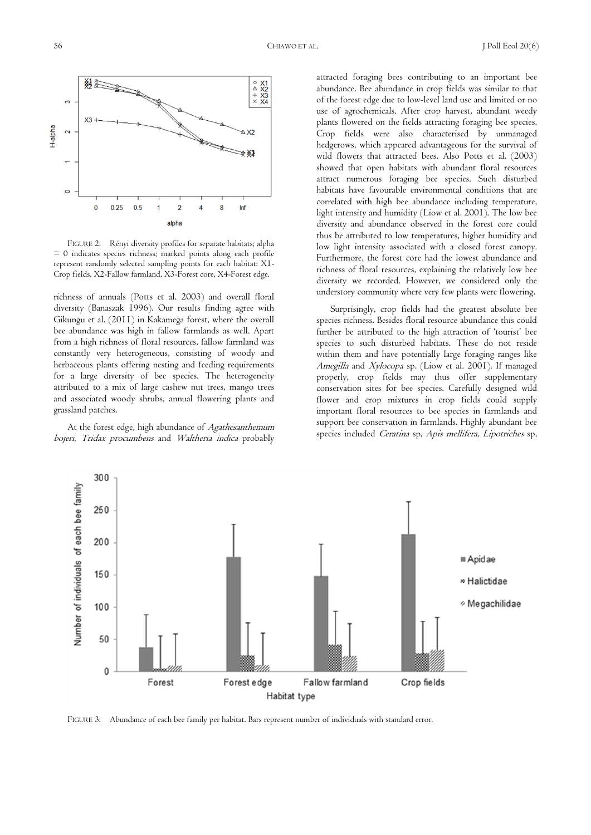

FIGURE 2: Rényi diversity profiles for separate habitats; alpha = 0 indicates species richness; marked points along each profile represent randomly selected sampling points for each habitat: X1- Crop fields, X2-Fallow farmland, X3-Forest core, X4-Forest edge.

richness of annuals (Potts et al. 2003) and overall floral diversity (Banaszak 1996). Our results finding agree with Gikungu et al. (2011) in Kakamega forest, where the overall bee abundance was high in fallow farmlands as well. Apart from a high richness of floral resources, fallow farmland was constantly very heterogeneous, consisting of woody and herbaceous plants offering nesting and feeding requirements for a large diversity of bee species. The heterogeneity attributed to a mix of large cashew nut trees, mango trees and associated woody shrubs, annual flowering plants and grassland patches.

At the forest edge, high abundance of Agathesanthemum bojeri, Tridax procumbens and Waltheria indica probably attracted foraging bees contributing to an important bee abundance. Bee abundance in crop fields was similar to that of the forest edge due to low-level land use and limited or no use of agrochemicals. After crop harvest, abundant weedy plants flowered on the fields attracting foraging bee species. Crop fields were also characterised by unmanaged hedgerows, which appeared advantageous for the survival of wild flowers that attracted bees. Also Potts et al. (2003) showed that open habitats with abundant floral resources attract numerous foraging bee species. Such disturbed habitats have favourable environmental conditions that are correlated with high bee abundance including temperature, light intensity and humidity (Liow et al. 2001). The low bee diversity and abundance observed in the forest core could thus be attributed to low temperatures, higher humidity and low light intensity associated with a closed forest canopy. Furthermore, the forest core had the lowest abundance and richness of floral resources, explaining the relatively low bee diversity we recorded. However, we considered only the understory community where very few plants were flowering.

Surprisingly, crop fields had the greatest absolute bee species richness. Besides floral resource abundance this could further be attributed to the high attraction of 'tourist' bee species to such disturbed habitats. These do not reside within them and have potentially large foraging ranges like Amegilla and Xylocopa sp. (Liow et al. 2001). If managed properly, crop fields may thus offer supplementary conservation sites for bee species. Carefully designed wild flower and crop mixtures in crop fields could supply important floral resources to bee species in farmlands and support bee conservation in farmlands. Highly abundant bee species included Ceratina sp, Apis mellifera, Lipotriches sp,



FIGURE 3: Abundance of each bee family per habitat. Bars represent number of individuals with standard error.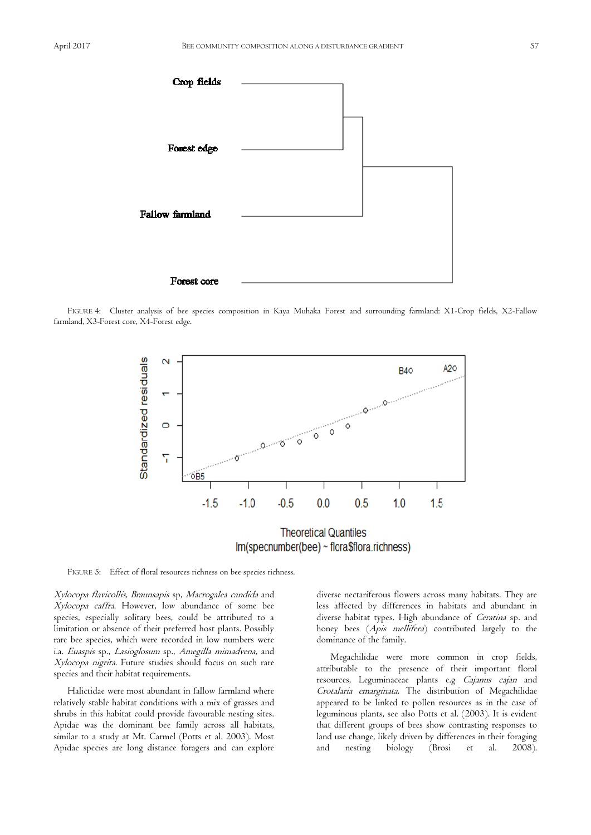

FIGURE 4: Cluster analysis of bee species composition in Kaya Muhaka Forest and surrounding farmland: X1-Crop fields, X2-Fallow farmland, X3-Forest core, X4-Forest edge.



FIGURE 5: Effect of floral resources richness on bee species richness.

Xylocopa flavicollis, Braunsapis sp, Macrogalea candida and Xylocopa caffra. However, low abundance of some bee species, especially solitary bees, could be attributed to a limitation or absence of their preferred host plants. Possibly rare bee species, which were recorded in low numbers were i.a. Euaspis sp., Lasioglosum sp., Amegilla mimadvena, and Xylocopa nigrita. Future studies should focus on such rare species and their habitat requirements.

Halictidae were most abundant in fallow farmland where relatively stable habitat conditions with a mix of grasses and shrubs in this habitat could provide favourable nesting sites. Apidae was the dominant bee family across all habitats, similar to a study at Mt. Carmel (Potts et al. 2003). Most Apidae species are long distance foragers and can explore

diverse nectariferous flowers across many habitats. They are less affected by differences in habitats and abundant in diverse habitat types. High abundance of Ceratina sp. and honey bees (Apis mellifera) contributed largely to the dominance of the family.

Megachilidae were more common in crop fields, attributable to the presence of their important floral resources, Leguminaceae plants e.g Cajanus cajan and Crotalaria emarginata. The distribution of Megachilidae appeared to be linked to pollen resources as in the case of leguminous plants, see also Potts et al. (2003). It is evident that different groups of bees show contrasting responses to land use change, likely driven by differences in their foraging and nesting biology (Brosi et al. 2008).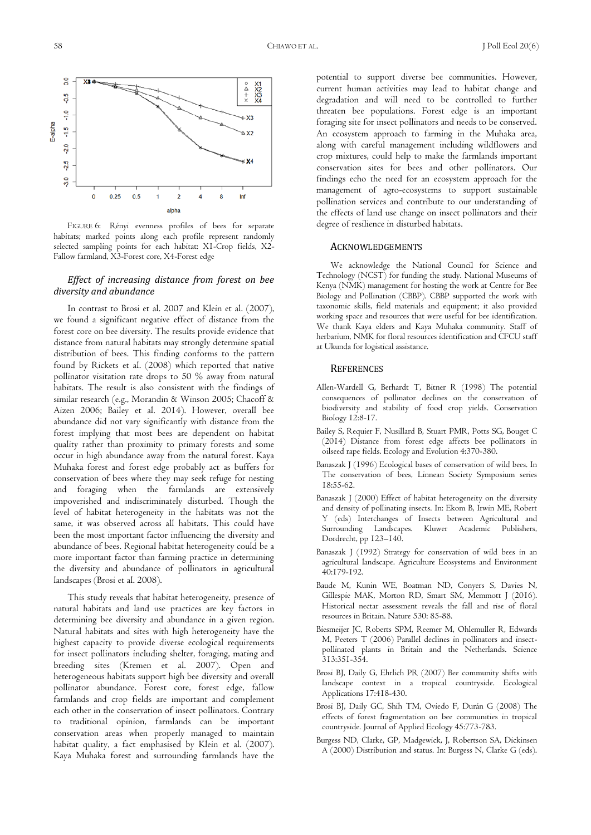

FIGURE 6: Rényi evenness profiles of bees for separate habitats; marked points along each profile represent randomly selected sampling points for each habitat: X1-Crop fields, X2- Fallow farmland, X3-Forest core, X4-Forest edge

## *Effect of increasing distance from forest on bee diversity and abundance*

In contrast to Brosi et al. 2007 and Klein et al. (2007), we found a significant negative effect of distance from the forest core on bee diversity. The results provide evidence that distance from natural habitats may strongly determine spatial distribution of bees. This finding conforms to the pattern found by Rickets et al. (2008) which reported that native pollinator visitation rate drops to 50 % away from natural habitats. The result is also consistent with the findings of similar research (e.g., Morandin & Winson 2005; Chacoff & Aizen 2006; Bailey et al. 2014). However, overall bee abundance did not vary significantly with distance from the forest implying that most bees are dependent on habitat quality rather than proximity to primary forests and some occur in high abundance away from the natural forest. Kaya Muhaka forest and forest edge probably act as buffers for conservation of bees where they may seek refuge for nesting and foraging when the farmlands are extensively impoverished and indiscriminately disturbed. Though the level of habitat heterogeneity in the habitats was not the same, it was observed across all habitats. This could have been the most important factor influencing the diversity and abundance of bees. Regional habitat heterogeneity could be a more important factor than farming practice in determining the diversity and abundance of pollinators in agricultural landscapes (Brosi et al. 2008).

This study reveals that habitat heterogeneity, presence of natural habitats and land use practices are key factors in determining bee diversity and abundance in a given region. Natural habitats and sites with high heterogeneity have the highest capacity to provide diverse ecological requirements for insect pollinators including shelter, foraging, mating and breeding sites (Kremen et al. 2007). Open and heterogeneous habitats support high bee diversity and overall pollinator abundance. Forest core, forest edge, fallow farmlands and crop fields are important and complement each other in the conservation of insect pollinators. Contrary to traditional opinion, farmlands can be important conservation areas when properly managed to maintain habitat quality, a fact emphasised by Klein et al. (2007). Kaya Muhaka forest and surrounding farmlands have the

potential to support diverse bee communities. However, current human activities may lead to habitat change and degradation and will need to be controlled to further threaten bee populations. Forest edge is an important foraging site for insect pollinators and needs to be conserved. An ecosystem approach to farming in the Muhaka area, along with careful management including wildflowers and crop mixtures, could help to make the farmlands important conservation sites for bees and other pollinators. Our findings echo the need for an ecosystem approach for the management of agro-ecosystems to support sustainable pollination services and contribute to our understanding of the effects of land use change on insect pollinators and their degree of resilience in disturbed habitats.

#### ACKNOWLEDGEMENTS

We acknowledge the National Council for Science and Technology (NCST) for funding the study. National Museums of Kenya (NMK) management for hosting the work at Centre for Bee Biology and Pollination (CBBP). CBBP supported the work with taxonomic skills, field materials and equipment; it also provided working space and resources that were useful for bee identification. We thank Kaya elders and Kaya Muhaka community. Staff of herbarium, NMK for floral resources identification and CFCU staff at Ukunda for logistical assistance.

#### **REFERENCES**

- Allen-Wardell G, Berhardt T, Bitner R (1998) The potential consequences of pollinator declines on the conservation of biodiversity and stability of food crop yields. Conservation Biology 12:8-17.
- Bailey S, Requier F, Nusillard B, Stuart PMR, Potts SG, Bouget C (2014) Distance from forest edge affects bee pollinators in oilseed rape fields. Ecology and Evolution 4:370-380.
- Banaszak J (1996) Ecological bases of conservation of wild bees. In The conservation of bees, Linnean Society Symposium series 18:55-62.
- Banaszak J (2000) Effect of habitat heterogeneity on the diversity and density of pollinating insects. In: Ekom B, Irwin ME, Robert Y (eds) Interchanges of Insects between Agricultural and Surrounding Landscapes. Kluwer Academic Publishers, Dordrecht, pp 123–140.
- Banaszak J (1992) Strategy for conservation of wild bees in an agricultural landscape. Agriculture Ecosystems and Environment 40:179-192.
- Baude M, Kunin WE, Boatman ND, Conyers S, Davies N, Gillespie MAK, Morton RD, Smart SM, Memmott J (2016). Historical nectar assessment reveals the fall and rise of floral resources in Britain. Nature 530: 85-88.
- Biesmeijer JC, Roberts SPM, Reemer M, Ohlemuller R, Edwards M, Peeters T (2006) Parallel declines in pollinators and insectpollinated plants in Britain and the Netherlands. Science 313:351-354.
- Brosi BJ, Daily G, Ehrlich PR (2007) Bee community shifts with landscape context in a tropical countryside. Ecological Applications 17:418-430.
- Brosi BJ, Daily GC, Shih TM, Oviedo F, Durán G (2008) The effects of forest fragmentation on bee communities in tropical countryside. Journal of Applied Ecology 45:773-783.
- Burgess ND, Clarke, GP, Madgewick, J, Robertson SA, Dickinsen A (2000) Distribution and status. In: Burgess N, Clarke G (eds).